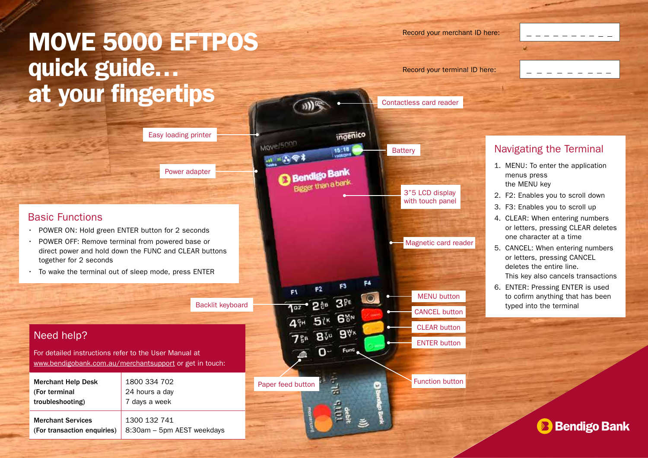# MOVE 5000 EFTPOS quick guide… at your fingertips

| Easy loading printer |  |
|----------------------|--|
|                      |  |
| Power adapter        |  |
|                      |  |

#### Basic Functions

- POWER ON: Hold green ENTER button for 2 seconds
- POWER OFF: Remove terminal from powered base or direct power and hold down the FUNC and CLEAR buttons together for 2 seconds
- To wake the terminal out of sleep mode, press ENTER

Backlit keyboard

# Need help?

For detailed instructions refer to the User Manual at www.bendigobank.com.au/merchantsupport or get in touch:

| <b>Merchant Help Desk</b>   | 1800 334 702               |
|-----------------------------|----------------------------|
| (For terminal               | 24 hours a day             |
| troubleshooting)            | 7 days a week              |
| <b>Merchant Services</b>    | 1300 132 741               |
| (For transaction enquiries) | 8:30am - 5pm AEST weekdays |

Contactless card reader ingenico Move/5000 **Battery**  $15:18$ **Bendigo** Bigger than a bar 3"5 LCD display with touch panel Magnetic card reader  $F4$ F1 MENU button  $3^{p_E}$ CANCEL button **GMN** CLEAR button **810 9Vx** ENTER button Func  $\mathbf{O}$ Function button  $\frac{1}{2}$ Paper feed button

Record your merchant ID here:

Record your terminal ID here:



### Navigating the Terminal

- 1. MENU: To enter the application menus press the MENU key
- 2. F2: Enables you to scroll down
- 3. F3: Enables you to scroll up
- 4. CLEAR: When entering numbers or letters, pressing CLEAR deletes one character at a time
- 5. CANCEL: When entering numbers or letters, pressing CANCEL deletes the entire line. This key also cancels transactions
- 6. ENTER: Pressing ENTER is used to cofirm anything that has been typed into the terminal

**Bendigo Bank**